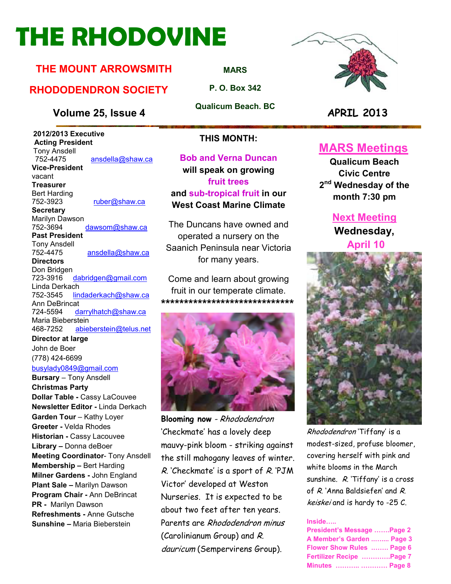# **THE RHODOVINE**

# **THE MOUNT ARROWSMITH**

# **RHODODENDRON SOCIETY**

### **Volume 25, Issue 4 APRIL 2013**

 **2012/2013 Executive Acting President Tony Ansdell**<br>752-4475 ansdella@shaw.ca **Vice-President**  vacant **Treasurer**  Bert Harding<br>752-3923 ruber@shaw.ca **Secretary** Marilyn Dawson 752-3694 dawsom@shaw.ca **Past President**  Tony Ansdell ansdella@shaw.ca **Directors**  Don Bridgen 723-3916 dabridgen@gmail.com Linda Derkach<br>752-3545 lin lindaderkach@shaw.ca Ann DeBrincat 724-5594 darrylhatch@shaw.ca Maria Bieberstein 468-7252 abieberstein@telus.net **Director at large** 

John de Boer (778) 424-6699 busylady0849@gmail.com

**Bursary** – Tony Ansdell **Christmas Party Dollar Table -** Cassy LaCouvee **Newsletter Editor -** Linda Derkach **Garden Tour** – Kathy Loyer **Greeter -** Velda Rhodes **Historian -** Cassy Lacouvee **Library –** Donna deBoer **Meeting Coordinator**- Tony Ansdell **Membership –** Bert Harding **Milner Gardens -** John England **Plant Sale –** Marilyn Dawson **Program Chair -** Ann DeBrincat **PR -** Marilyn Dawson **Refreshments -** Anne Gutsche **Sunshine –** Maria Bieberstein

**MARS**

**P. O. Box 342** 

**Qualicum Beach. BC** 



### **THIS MONTH:**

**Bob and Verna Duncan will speak on growing fruit trees and sub-tropical fruit in our West Coast Marine Climate** 

The Duncans have owned and operated a nursery on the Saanich Peninsula near Victoria for many years.

Come and learn about growing fruit in our temperate climate. **\*\*\*\*\*\*\*\*\*\*\*\*\*\*\*\*\*\*\*\*\*\*\*\*\*\*\*\*\*** 



**Blooming now** - Rhododendron 'Checkmate' has a lovely deep mauvy-pink bloom - striking against the still mahogany leaves of winter. R. 'Checkmate' is a sport of R. 'PJM Victor' developed at Weston Nurseries. It is expected to be about two feet after ten years. Parents are Rhododendron minus (Carolinianum Group) and R. dauricum (Sempervirens Group).

# **MARS Meetings**

**Qualicum Beach Civic Centre 2 nd Wednesday of the month 7:30 pm** 

# **Next Meeting**

**Wednesday, April 10** 



Rhododendron 'Tiffany' is a modest-sized, profuse bloomer, covering herself with pink and white blooms in the March sunshine. R. 'Tiffany' is a cross of R. 'Anna Baldsiefen' and R. keiskei and is hardy to -25 C.

#### **Inside.....**

| President's Message Page 2 |  |
|----------------------------|--|
| A Member's Garden  Page 3  |  |
| Flower Show Rules  Page 6  |  |
| Fertilizer Recipe Page 7   |  |
| <b>Minutes   Page 8</b>    |  |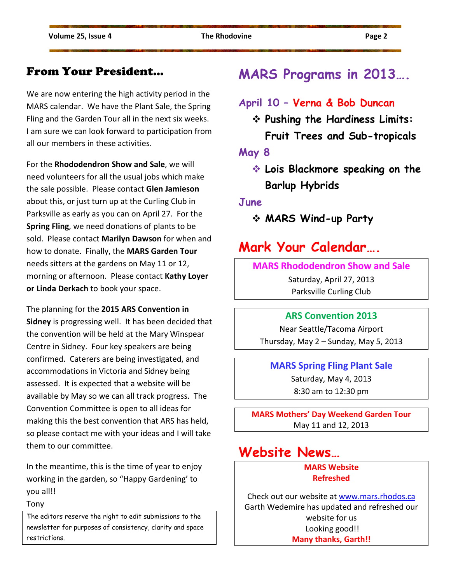# From Your President…

We are now entering the high activity period in the MARS calendar. We have the Plant Sale, the Spring Fling and the Garden Tour all in the next six weeks. I am sure we can look forward to participation from all our members in these activities.

For the **Rhododendron Show and Sale**, we will need volunteers for all the usual jobs which make the sale possible. Please contact **Glen Jamieson** about this, or just turn up at the Curling Club in Parksville as early as you can on April 27. For the **Spring Fling**, we need donations of plants to be sold. Please contact **Marilyn Dawson** for when and how to donate. Finally, the **MARS Garden Tour** needs sitters at the gardens on May 11 or 12, morning or afternoon. Please contact **Kathy Loyer or Linda Derkach** to book your space.

The planning for the **2015 ARS Convention in Sidney** is progressing well. It has been decided that the convention will be held at the Mary Winspear Centre in Sidney. Four key speakers are being confirmed. Caterers are being investigated, and accommodations in Victoria and Sidney being assessed. It is expected that a website will be available by May so we can all track progress. The Convention Committee is open to all ideas for making this the best convention that ARS has held, so please contact me with your ideas and I will take them to our committee.

In the meantime, this is the time of year to enjoy working in the garden, so "Happy Gardening' to you all!!

Tony

The editors reserve the right to edit submissions to the newsletter for purposes of consistency, clarity and space restrictions.

# **MARS Programs in 2013….**

# **April 10 – Verna & Bob Duncan**

- **Pushing the Hardiness Limits:** 
	- **Fruit Trees and Sub-tropicals**

**May 8** 

 **Lois Blackmore speaking on the Barlup Hybrids**

**June** 

**MARS Wind-up Party** 

# **Mark Your Calendar….**

### **MARS Rhododendron Show and Sale**

Saturday, April 27, 2013 Parksville Curling Club

### **ARS Convention 2013**

Near Seattle/Tacoma Airport Thursday, May 2 – Sunday, May 5, 2013

### **MARS Spring Fling Plant Sale**

Saturday, May 4, 2013 8:30 am to 12:30 pm

**MARS Mothers' Day Weekend Garden Tour**  May 11 and 12, 2013

# **Website News…**

### **MARS Website Refreshed**

Check out our website at www.mars.rhodos.ca Garth Wedemire has updated and refreshed our website for us Looking good!! **Many thanks, Garth!!**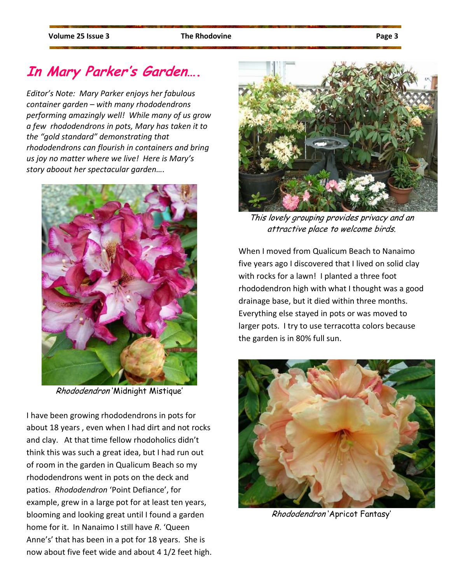# **In Mary Parker's Garden….**

*Editor's Note: Mary Parker enjoys her fabulous container garden – with many rhododendrons performing amazingly well! While many of us grow a few rhododendrons in pots, Mary has taken it to the "gold standard" demonstrating that rhododendrons can flourish in containers and bring us joy no matter where we live! Here is Mary's story aboout her spectacular garden….* 



Rhododendron 'Midnight Mistique'

I have been growing rhododendrons in pots for about 18 years , even when I had dirt and not rocks and clay. At that time fellow rhodoholics didn't think this was such a great idea, but I had run out of room in the garden in Qualicum Beach so my rhododendrons went in pots on the deck and patios. *Rhododendron* 'Point Defiance', for example, grew in a large pot for at least ten years, blooming and looking great until I found a garden home for it. In Nanaimo I still have *R*. 'Queen Anne's' that has been in a pot for 18 years. She is now about five feet wide and about 4 1/2 feet high.



This lovely grouping provides privacy and an attractive place to welcome birds.

When I moved from Qualicum Beach to Nanaimo five years ago I discovered that I lived on solid clay with rocks for a lawn! I planted a three foot rhododendron high with what I thought was a good drainage base, but it died within three months. Everything else stayed in pots or was moved to larger pots. I try to use terracotta colors because the garden is in 80% full sun.



Rhododendron 'Apricot Fantasy'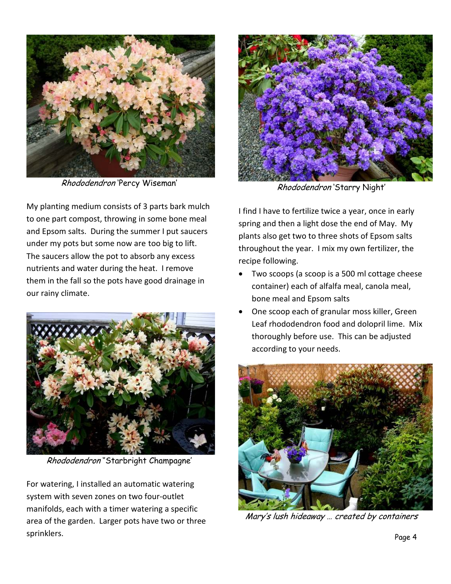

Rhododendron 'Percy Wiseman'

My planting medium consists of 3 parts bark mulch to one part compost, throwing in some bone meal and Epsom salts. During the summer I put saucers under my pots but some now are too big to lift. The saucers allow the pot to absorb any excess nutrients and water during the heat. I remove them in the fall so the pots have good drainage in our rainy climate.



Rhododendron ''Starbright Champagne'

For watering, I installed an automatic watering system with seven zones on two four-outlet manifolds, each with a timer watering a specific area of the garden. Larger pots have two or three sprinklers.



Rhododendron 'Starry Night'

I find I have to fertilize twice a year, once in early spring and then a light dose the end of May. My plants also get two to three shots of Epsom salts throughout the year. I mix my own fertilizer, the recipe following.

- Two scoops (a scoop is a 500 ml cottage cheese container) each of alfalfa meal, canola meal, bone meal and Epsom salts
- One scoop each of granular moss killer, Green Leaf rhododendron food and dolopril lime. Mix thoroughly before use. This can be adjusted according to your needs.



Mary's lush hideaway … created by containers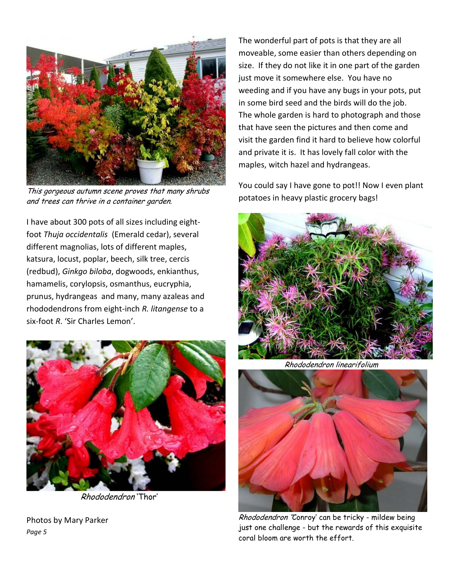

This gorgeous autumn scene proves that many shrubs and trees can thrive in a container garden.

I have about 300 pots of all sizes including eightfoot *Thuja occidentalis* (Emerald cedar), several different magnolias, lots of different maples, katsura, locust, poplar, beech, silk tree, cercis (redbud), *Ginkgo biloba*, dogwoods, enkianthus, hamamelis, corylopsis, osmanthus, eucryphia, prunus, hydrangeas and many, many azaleas and rhododendrons from eight-inch *R. litangense* to a six-foot *R*. 'Sir Charles Lemon'.



Rhododendron 'Thor'

Photos by Mary Parker *Page 5* 

The wonderful part of pots is that they are all moveable, some easier than others depending on size. If they do not like it in one part of the garden just move it somewhere else. You have no weeding and if you have any bugs in your pots, put in some bird seed and the birds will do the job. The whole garden is hard to photograph and those that have seen the pictures and then come and visit the garden find it hard to believe how colorful and private it is. It has lovely fall color with the maples, witch hazel and hydrangeas.

You could say I have gone to pot!! Now I even plant potatoes in heavy plastic grocery bags!



Rhododendron linearifolium



Rhododendron ''Conroy' can be tricky - mildew being just one challenge - but the rewards of this exquisite coral bloom are worth the effort.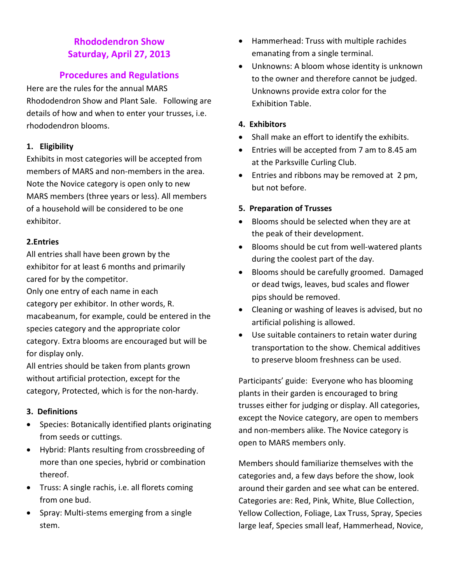## **Rhododendron Show Saturday, April 27, 2013**

### **Procedures and Regulations**

Here are the rules for the annual MARS Rhododendron Show and Plant Sale. Following are details of how and when to enter your trusses, i.e. rhododendron blooms.

### **1. Eligibility**

Exhibits in most categories will be accepted from members of MARS and non-members in the area. Note the Novice category is open only to new MARS members (three years or less). All members of a household will be considered to be one exhibitor.

### **2.Entries**

All entries shall have been grown by the exhibitor for at least 6 months and primarily cared for by the competitor.

Only one entry of each name in each category per exhibitor. In other words, R. macabeanum, for example, could be entered in the species category and the appropriate color category. Extra blooms are encouraged but will be for display only.

All entries should be taken from plants grown without artificial protection, except for the category, Protected, which is for the non-hardy.

### **3. Definitions**

- Species: Botanically identified plants originating from seeds or cuttings.
- Hybrid: Plants resulting from crossbreeding of more than one species, hybrid or combination thereof.
- Truss: A single rachis, i.e. all florets coming from one bud.
- Spray: Multi-stems emerging from a single stem.
- Hammerhead: Truss with multiple rachides emanating from a single terminal.
- Unknowns: A bloom whose identity is unknown to the owner and therefore cannot be judged. Unknowns provide extra color for the Exhibition Table.

### **4. Exhibitors**

- Shall make an effort to identify the exhibits.
- Entries will be accepted from 7 am to 8.45 am at the Parksville Curling Club.
- Entries and ribbons may be removed at 2 pm, but not before.

### **5. Preparation of Trusses**

- Blooms should be selected when they are at the peak of their development.
- Blooms should be cut from well-watered plants during the coolest part of the day.
- Blooms should be carefully groomed. Damaged or dead twigs, leaves, bud scales and flower pips should be removed.
- Cleaning or washing of leaves is advised, but no artificial polishing is allowed.
- Use suitable containers to retain water during transportation to the show. Chemical additives to preserve bloom freshness can be used.

Participants' guide: Everyone who has blooming plants in their garden is encouraged to bring trusses either for judging or display. All categories, except the Novice category, are open to members and non-members alike. The Novice category is open to MARS members only.

Members should familiarize themselves with the categories and, a few days before the show, look around their garden and see what can be entered. Categories are: Red, Pink, White, Blue Collection, Yellow Collection, Foliage, Lax Truss, Spray, Species large leaf, Species small leaf, Hammerhead, Novice,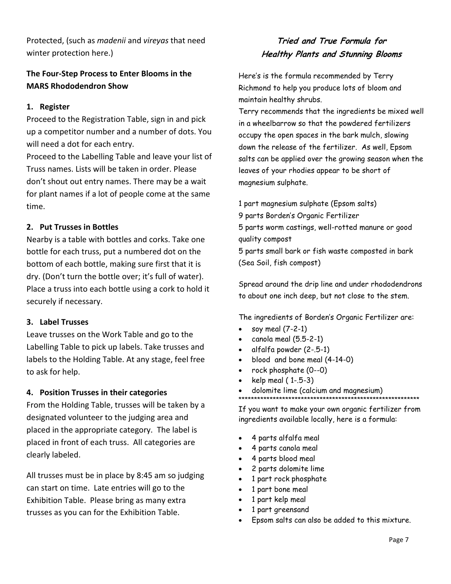Protected, (such as *madenii* and *vireyas* that need winter protection here.)

### **The Four-Step Process to Enter Blooms in the MARS Rhododendron Show**

### **1. Register**

Proceed to the Registration Table, sign in and pick up a competitor number and a number of dots. You will need a dot for each entry.

Proceed to the Labelling Table and leave your list of Truss names. Lists will be taken in order. Please don't shout out entry names. There may be a wait for plant names if a lot of people come at the same time.

### **2. Put Trusses in Bottles**

Nearby is a table with bottles and corks. Take one bottle for each truss, put a numbered dot on the bottom of each bottle, making sure first that it is dry. (Don't turn the bottle over; it's full of water). Place a truss into each bottle using a cork to hold it securely if necessary.

#### **3. Label Trusses**

Leave trusses on the Work Table and go to the Labelling Table to pick up labels. Take trusses and labels to the Holding Table. At any stage, feel free to ask for help.

#### **4. Position Trusses in their categories**

From the Holding Table, trusses will be taken by a designated volunteer to the judging area and placed in the appropriate category. The label is placed in front of each truss. All categories are clearly labeled.

All trusses must be in place by 8:45 am so judging can start on time. Late entries will go to the Exhibition Table. Please bring as many extra trusses as you can for the Exhibition Table.

### **Tried and True Formula for Healthy Plants and Stunning Blooms**

Here's is the formula recommended by Terry Richmond to help you produce lots of bloom and maintain healthy shrubs.

Terry recommends that the ingredients be mixed well in a wheelbarrow so that the powdered fertilizers occupy the open spaces in the bark mulch, slowing down the release of the fertilizer. As well, Epsom salts can be applied over the growing season when the leaves of your rhodies appear to be short of magnesium sulphate.

1 part magnesium sulphate (Epsom salts) 9 parts Borden's Organic Fertilizer 5 parts worm castings, well-rotted manure or good quality compost 5 parts small bark or fish waste composted in bark (Sea Soil, fish compost)

Spread around the drip line and under rhododendrons to about one inch deep, but not close to the stem.

The ingredients of Borden's Organic Fertilizer are:

- soy meal (7-2-1)
- canola meal (5.5-2-1)
- alfalfa powder (2-.5-1)
- blood and bone meal (4-14-0)
- rock phosphate (0--0)
- kelp meal ( 1-.5-3)
- dolomite lime (calcium and magnesium)

\*\*\*\*\*\*\*\*\*\*\*\*\*\*\*\*\*\*\*\*\*\*\*\*\*\*\*\*\*\*\*\*\*\*\*\*\*\*\*\*\*\*\*\*\*\*\*\*\*\*\*\*\*\*\*\*\*\* If you want to make your own organic fertilizer from ingredients available locally, here is a formula:

- 4 parts alfalfa meal
- 4 parts canola meal
- 4 parts blood meal
- 2 parts dolomite lime
- 1 part rock phosphate
- 1 part bone meal
- 1 part kelp meal
- 1 part greensand
- Epsom salts can also be added to this mixture.